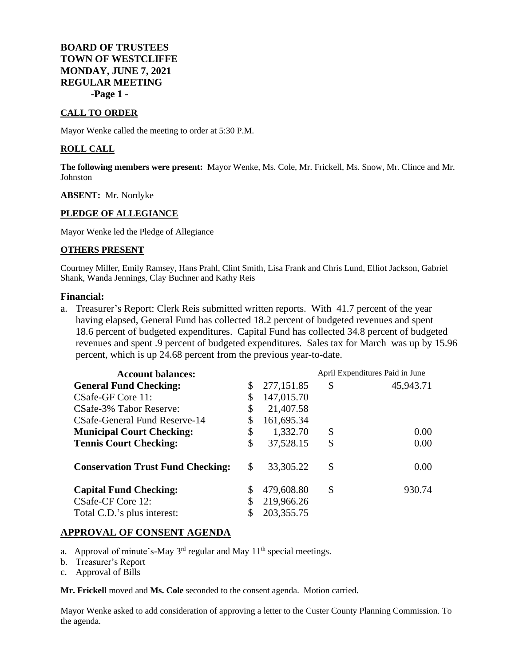# **BOARD OF TRUSTEES TOWN OF WESTCLIFFE MONDAY, JUNE 7, 2021 REGULAR MEETING -Page 1 -**

## **CALL TO ORDER**

Mayor Wenke called the meeting to order at 5:30 P.M.

#### **ROLL CALL**

**The following members were present:** Mayor Wenke, Ms. Cole, Mr. Frickell, Ms. Snow, Mr. Clince and Mr. Johnston

#### **ABSENT:** Mr. Nordyke

## **PLEDGE OF ALLEGIANCE**

Mayor Wenke led the Pledge of Allegiance

#### **OTHERS PRESENT**

Courtney Miller, Emily Ramsey, Hans Prahl, Clint Smith, Lisa Frank and Chris Lund, Elliot Jackson, Gabriel Shank, Wanda Jennings, Clay Buchner and Kathy Reis

#### **Financial:**

a. Treasurer's Report: Clerk Reis submitted written reports. With 41.7 percent of the year having elapsed, General Fund has collected 18.2 percent of budgeted revenues and spent 18.6 percent of budgeted expenditures. Capital Fund has collected 34.8 percent of budgeted revenues and spent .9 percent of budgeted expenditures. Sales tax for March was up by 15.96 percent, which is up 24.68 percent from the previous year-to-date.

| <b>Account balances:</b>                 |    |              | April Expenditures Paid in June |           |
|------------------------------------------|----|--------------|---------------------------------|-----------|
| <b>General Fund Checking:</b>            | \$ | 277,151.85   | \$                              | 45,943.71 |
| CSafe-GF Core 11:                        | \$ | 147,015.70   |                                 |           |
| CSafe-3% Tabor Reserve:                  | \$ | 21,407.58    |                                 |           |
| CSafe-General Fund Reserve-14            |    | 161,695.34   |                                 |           |
| <b>Municipal Court Checking:</b>         | \$ | 1,332.70     | \$                              | 0.00      |
| <b>Tennis Court Checking:</b>            | \$ | 37,528.15    | \$                              | 0.00      |
| <b>Conservation Trust Fund Checking:</b> | \$ | 33, 305. 22  | \$                              | 0.00      |
| <b>Capital Fund Checking:</b>            |    | 479,608.80   | \$                              | 930.74    |
| CSafe-CF Core 12:                        |    | 219,966.26   |                                 |           |
| Total C.D.'s plus interest:              |    | 203, 355. 75 |                                 |           |

## **APPROVAL OF CONSENT AGENDA**

- a. Approval of minute's-May  $3<sup>rd</sup>$  regular and May  $11<sup>th</sup>$  special meetings.
- b. Treasurer's Report
- c. Approval of Bills

**Mr. Frickell** moved and **Ms. Cole** seconded to the consent agenda. Motion carried.

Mayor Wenke asked to add consideration of approving a letter to the Custer County Planning Commission. To the agenda.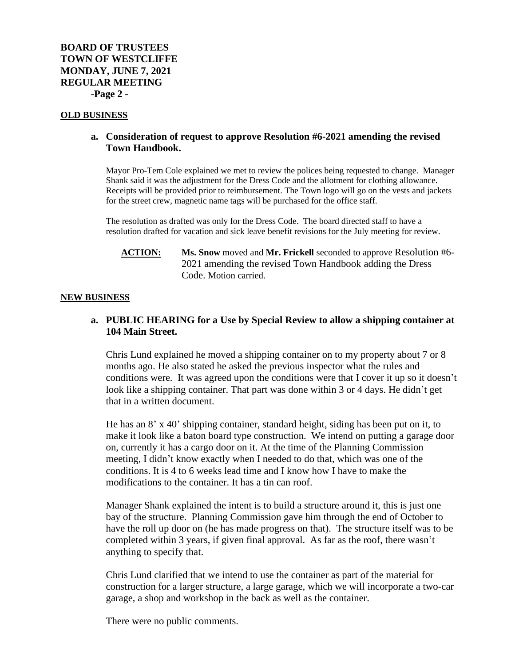#### **OLD BUSINESS**

## **a. Consideration of request to approve Resolution #6-2021 amending the revised Town Handbook.**

Mayor Pro-Tem Cole explained we met to review the polices being requested to change. Manager Shank said it was the adjustment for the Dress Code and the allotment for clothing allowance. Receipts will be provided prior to reimbursement. The Town logo will go on the vests and jackets for the street crew, magnetic name tags will be purchased for the office staff.

The resolution as drafted was only for the Dress Code. The board directed staff to have a resolution drafted for vacation and sick leave benefit revisions for the July meeting for review.

## **ACTION: Ms. Snow** moved and **Mr. Frickell** seconded to approve Resolution #6- 2021 amending the revised Town Handbook adding the Dress Code. Motion carried.

#### **NEW BUSINESS**

# **a. PUBLIC HEARING for a Use by Special Review to allow a shipping container at 104 Main Street.**

Chris Lund explained he moved a shipping container on to my property about 7 or 8 months ago. He also stated he asked the previous inspector what the rules and conditions were. It was agreed upon the conditions were that I cover it up so it doesn't look like a shipping container. That part was done within 3 or 4 days. He didn't get that in a written document.

He has an 8' x 40' shipping container, standard height, siding has been put on it, to make it look like a baton board type construction. We intend on putting a garage door on, currently it has a cargo door on it. At the time of the Planning Commission meeting, I didn't know exactly when I needed to do that, which was one of the conditions. It is 4 to 6 weeks lead time and I know how I have to make the modifications to the container. It has a tin can roof.

Manager Shank explained the intent is to build a structure around it, this is just one bay of the structure. Planning Commission gave him through the end of October to have the roll up door on (he has made progress on that). The structure itself was to be completed within 3 years, if given final approval. As far as the roof, there wasn't anything to specify that.

Chris Lund clarified that we intend to use the container as part of the material for construction for a larger structure, a large garage, which we will incorporate a two-car garage, a shop and workshop in the back as well as the container.

There were no public comments.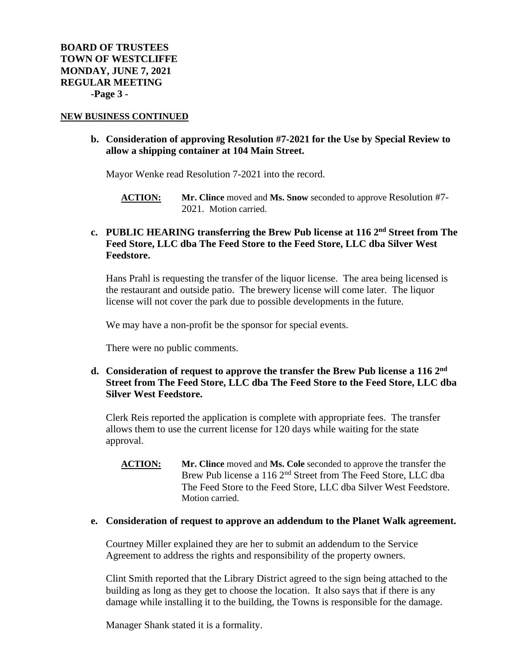#### **NEW BUSINESS CONTINUED**

## **b. Consideration of approving Resolution #7-2021 for the Use by Special Review to allow a shipping container at 104 Main Street.**

Mayor Wenke read Resolution 7-2021 into the record.

**ACTION: Mr. Clince** moved and **Ms. Snow** seconded to approve Resolution #7- 2021. Motion carried.

# **c. PUBLIC HEARING transferring the Brew Pub license at 116 2nd Street from The Feed Store, LLC dba The Feed Store to the Feed Store, LLC dba Silver West Feedstore.**

Hans Prahl is requesting the transfer of the liquor license. The area being licensed is the restaurant and outside patio. The brewery license will come later. The liquor license will not cover the park due to possible developments in the future.

We may have a non-profit be the sponsor for special events.

There were no public comments.

# **d. Consideration of request to approve the transfer the Brew Pub license a 116 2nd Street from The Feed Store, LLC dba The Feed Store to the Feed Store, LLC dba Silver West Feedstore.**

Clerk Reis reported the application is complete with appropriate fees. The transfer allows them to use the current license for 120 days while waiting for the state approval.

**ACTION: Mr. Clince** moved and **Ms. Cole** seconded to approve the transfer the Brew Pub license a 116 2<sup>nd</sup> Street from The Feed Store, LLC dba The Feed Store to the Feed Store, LLC dba Silver West Feedstore. Motion carried.

#### **e. Consideration of request to approve an addendum to the Planet Walk agreement.**

Courtney Miller explained they are her to submit an addendum to the Service Agreement to address the rights and responsibility of the property owners.

Clint Smith reported that the Library District agreed to the sign being attached to the building as long as they get to choose the location. It also says that if there is any damage while installing it to the building, the Towns is responsible for the damage.

Manager Shank stated it is a formality.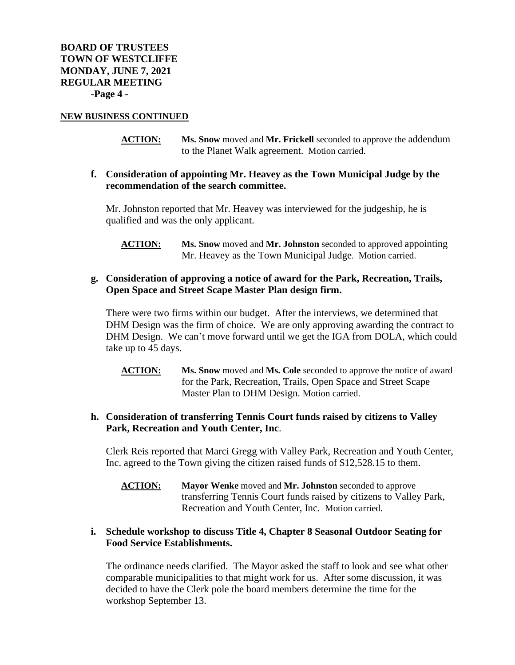#### **NEW BUSINESS CONTINUED**

**ACTION: Ms. Snow** moved and **Mr. Frickell** seconded to approve the addendum to the Planet Walk agreement. Motion carried.

## **f. Consideration of appointing Mr. Heavey as the Town Municipal Judge by the recommendation of the search committee.**

Mr. Johnston reported that Mr. Heavey was interviewed for the judgeship, he is qualified and was the only applicant.

**ACTION: Ms. Snow** moved and **Mr. Johnston** seconded to approved appointing Mr. Heavey as the Town Municipal Judge. Motion carried.

# **g. Consideration of approving a notice of award for the Park, Recreation, Trails, Open Space and Street Scape Master Plan design firm.**

There were two firms within our budget. After the interviews, we determined that DHM Design was the firm of choice. We are only approving awarding the contract to DHM Design. We can't move forward until we get the IGA from DOLA, which could take up to 45 days.

**ACTION: Ms. Snow** moved and **Ms. Cole** seconded to approve the notice of award for the Park, Recreation, Trails, Open Space and Street Scape Master Plan to DHM Design. Motion carried.

# **h. Consideration of transferring Tennis Court funds raised by citizens to Valley Park, Recreation and Youth Center, Inc**.

Clerk Reis reported that Marci Gregg with Valley Park, Recreation and Youth Center, Inc. agreed to the Town giving the citizen raised funds of \$12,528.15 to them.

**ACTION: Mayor Wenke** moved and **Mr. Johnston** seconded to approve transferring Tennis Court funds raised by citizens to Valley Park, Recreation and Youth Center, Inc. Motion carried.

# **i. Schedule workshop to discuss Title 4, Chapter 8 Seasonal Outdoor Seating for Food Service Establishments.**

The ordinance needs clarified. The Mayor asked the staff to look and see what other comparable municipalities to that might work for us. After some discussion, it was decided to have the Clerk pole the board members determine the time for the workshop September 13.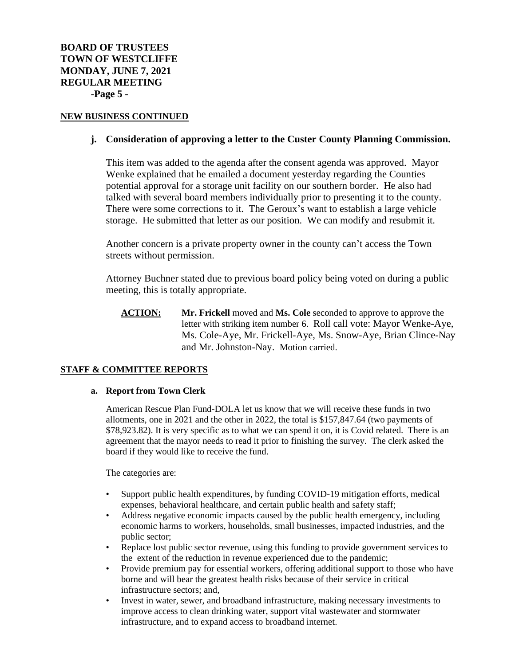#### **NEW BUSINESS CONTINUED**

## **j. Consideration of approving a letter to the Custer County Planning Commission.**

This item was added to the agenda after the consent agenda was approved. Mayor Wenke explained that he emailed a document yesterday regarding the Counties potential approval for a storage unit facility on our southern border. He also had talked with several board members individually prior to presenting it to the county. There were some corrections to it. The Geroux's want to establish a large vehicle storage. He submitted that letter as our position. We can modify and resubmit it.

Another concern is a private property owner in the county can't access the Town streets without permission.

Attorney Buchner stated due to previous board policy being voted on during a public meeting, this is totally appropriate.

**ACTION: Mr. Frickell** moved and **Ms. Cole** seconded to approve to approve the letter with striking item number 6. Roll call vote: Mayor Wenke-Aye, Ms. Cole-Aye, Mr. Frickell-Aye, Ms. Snow-Aye, Brian Clince-Nay and Mr. Johnston-Nay. Motion carried.

## **STAFF & COMMITTEE REPORTS**

#### **a. Report from Town Clerk**

American Rescue Plan Fund-DOLA let us know that we will receive these funds in two allotments, one in 2021 and the other in 2022, the total is \$157,847.64 (two payments of \$78,923.82). It is very specific as to what we can spend it on, it is Covid related. There is an agreement that the mayor needs to read it prior to finishing the survey. The clerk asked the board if they would like to receive the fund.

The categories are:

- Support public health expenditures, by funding COVID-19 mitigation efforts, medical expenses, behavioral healthcare, and certain public health and safety staff;
- Address negative economic impacts caused by the public health emergency, including economic harms to workers, households, small businesses, impacted industries, and the public sector;
- Replace lost public sector revenue, using this funding to provide government services to the extent of the reduction in revenue experienced due to the pandemic;
- Provide premium pay for essential workers, offering additional support to those who have borne and will bear the greatest health risks because of their service in critical infrastructure sectors; and,
- Invest in water, sewer, and broadband infrastructure, making necessary investments to improve access to clean drinking water, support vital wastewater and stormwater infrastructure, and to expand access to broadband internet.